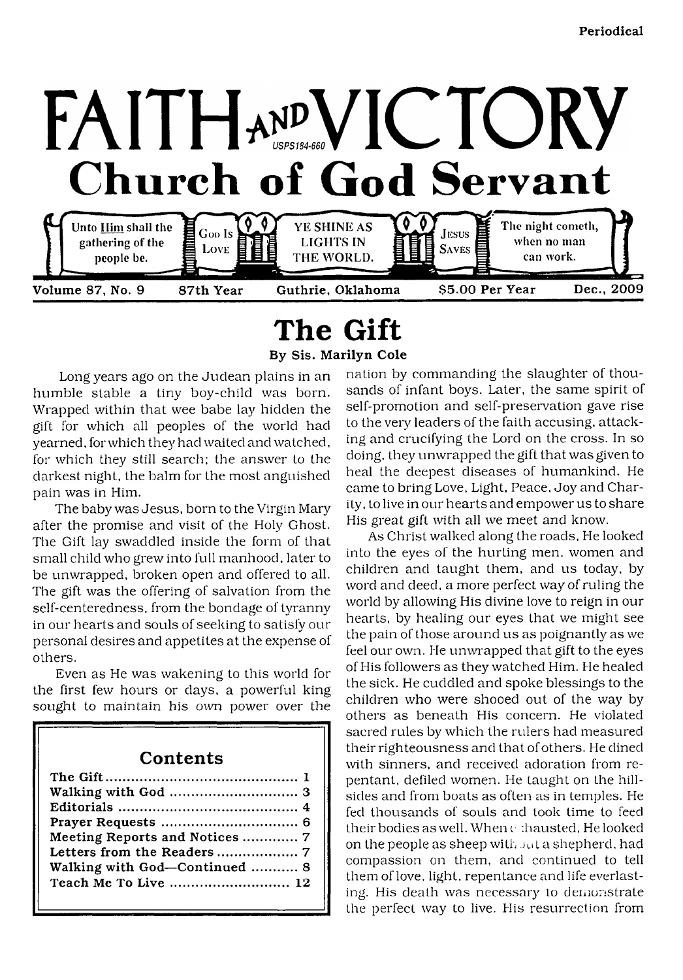

# <span id="page-0-0"></span>**The Gift**

By Sis. Marilyn Cole

Long years ago on the Judean plains in an humble stable a tiny boy-child was born. Wrapped within that wee babe lay hidden the gift for which all peoples of the world had yearned, for which they had waited and watched, for which they still search; the answer to the darkest night, the balm for the most anguished pain was in Him.

The baby was Jesus, born to the Virgin Mary after the promise and visit of the Holy Ghost. The Gift lay swaddled inside the form of that small child who grew into full manhood, later to be unwrapped, broken open and offered to all. The gift was the offering of salvation from the self-centeredness, from the bondage of tyranny in our hearts and souls of seeking to satisfy our personal desires and appetites at the expense of others.

Even as He was wakening to this world for the first few hours or days, a powerful king sought to maintain his own power over the

## **Contents**

| Meeting Reports and Notices  7 |
|--------------------------------|
|                                |
| Walking with God-Continued  8  |
| Teach Me To Live  12           |
|                                |

nation by commanding the slaughter of thousands of infant boys. Later, the same spirit of self-promotion and self-preservation gave rise to the very leaders of the faith accusing, attacking and crucifying the Lord on the cross. In so doing, they unwrapped the gift that was given to heal the deepest diseases of humankind. He came to bring Love, Light, Peace. Joy and Charity, to live in our hearts and empower us to share His great gift with all we meet and know.

As Christ walked along the roads, He looked into the eyes of the hurting men, women and children and taught them, and us today, by word and deed, a more perfect way of ruling the world by allowing His divine love to reign in our hearts, by healing our eyes that we might see the pain of those around us as poignantly as we feel our own. He unwrapped that gift to the eyes of His followers as they watched Him. He healed the sick. He cuddled and spoke blessings to the children who were shooed out of the way by others as beneath His concern. He violated sacred rules by which the rulers had measured their righteousness and that of others. He dined with sinners, and received adoration from repentant, defiled women. He taught on the hillsides and from boats as often as in temples. He fed thousands of souls and took time to feed their bodies as well. When c :hausted, He looked on the people as sheep with ju t a shepherd, had compassion on them, and continued to tell them of love, light, repentance and life everlasting. His death was necessary to demonstrate the perfect way to live. His resurrection from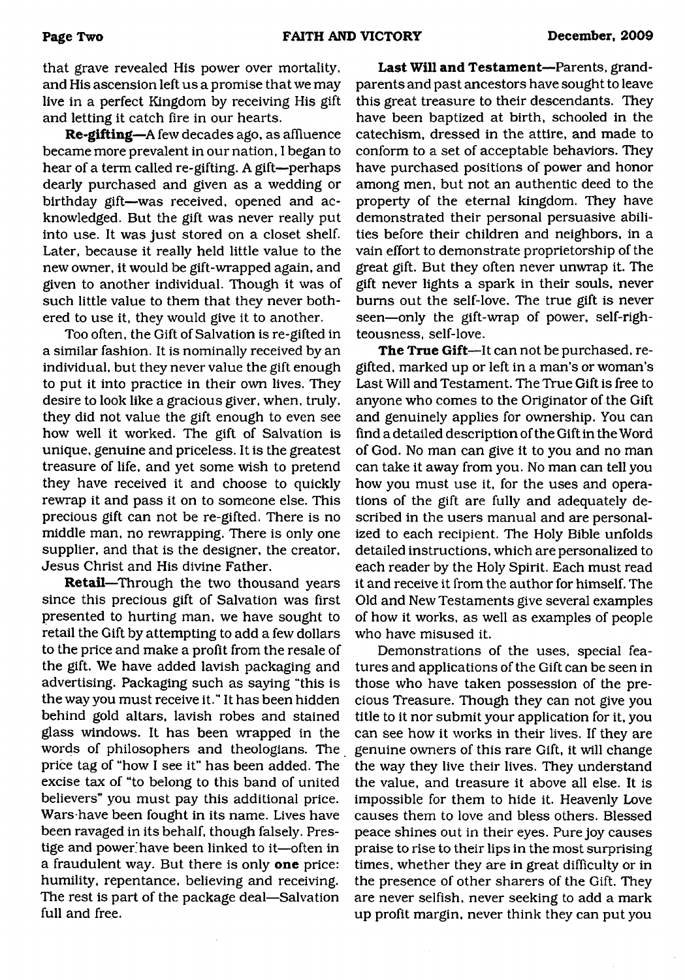that grave revealed His power over mortality, and His ascension left us a promise that we may live in a perfect Kingdom by receiving His gift and letting it catch fire in our hearts.

**Re-gifting**—A few decades ago, as affluence became more prevalent in our nation, I began to hear of a term called re-gifting. A gift—perhaps dearly purchased and given as a wedding or birthday gift—was received, opened and acknowledged. But the gift was never really put into use. It was just stored on a closet shelf. Later, because it really held little value to the new owner, it would be gift-wrapped again, and given to another individual. Though it was of such little value to them that they never bothered to use it, they would give it to another.

Too often, the Gift of Salvation is re-gifted in a similar fashion. It is nominally received by an individual, but they never value the gift enough to put it into practice in their own lives. They desire to look like a gracious giver, when, truly, they did not value the gift enough to even see how well it worked. The gift of Salvation is unique, genuine and priceless. It is the greatest treasure of life, and yet some wish to pretend they have received it and choose to quickly rewrap it and pass it on to someone else. This precious gift can not be re-gifted. There is no middle man, no rewrapping. There is only one supplier, and that is the designer, the creator, Jesus Christ and His divine Father.

**Retail**—Through the two thousand years since this precious gift of Salvation was first presented to hurting man, we have sought to retail the Gift by attempting to add a few dollars to the price and make a profit from the resale of the gift. We have added lavish packaging and advertising. Packaging such as saying "this is the way you must receive it." It has been hidden behind gold altars, lavish robes and stained glass windows. It has been wrapped in the words of philosophers and theologians. The price tag of "how I see it" has been added. The excise tax of "to belong to this band of united believers" you must pay this additional price. Wars have been fought in its name. Lives have been ravaged in its behalf, though falsely. Prestige and power'have been linked to it—often in a fraudulent way. But there is only **one** price: humility, repentance, believing and receiving. The rest is part of the package deal—Salvation full and free.

**Last Will and Testament**—Parents, grandparents and past ancestors have sought to leave this great treasure to their descendants. They have been baptized at birth, schooled in the catechism, dressed in the attire, and made to conform to a set of acceptable behaviors. They have purchased positions of power and honor among men, but not an authentic deed to the property of the eternal kingdom. They have demonstrated their personal persuasive abilities before their children and neighbors, in a vain effort to demonstrate proprietorship of the great gift. But they often never unwrap it. The gift never lights a spark in their souls, never bums out the self-love. The true gift is never seen—only the gift-wrap of power, self-righteousness, self-love.

**The True Gift**—It can not be purchased, regifted, marked up or left in a man's or woman's Last Will and Testament. The True Gift is free to anyone who comes to the Originator of the Gift and genuinely applies for ownership. You can find a detailed description of the Gift in the Word of God. No man can give it to you and no man can take it away from you. No man can tell you how you must use it, for the uses and operations of the gift are fully and adequately described in the users manual and are personalized to each recipient. The Holy Bible unfolds detailed instructions, which are personalized to each reader by the Holy Spirit. Each must read it and receive it from the author for himself. The Old and New Testaments give several examples of how it works, as well as examples of people who have misused it.

Demonstrations of the uses, special features and applications of the Gift can be seen in those who have taken possession of the precious Treasure. Though they can not give you title to it nor submit your application for it, you can see how it works in their lives. If they are genuine owners of this rare Gift, it will change the way they live their lives. They understand the value, and treasure it above all else. It is impossible for them to hide it. Heavenly Love causes them to love and bless others. Blessed peace shines out in their eyes. Pure joy causes praise to rise to their lips in the most surprising times, whether they are in great difficulty or in the presence of other sharers of the Gift. They are never selfish, never seeking to add a mark up profit margin, never think they can put you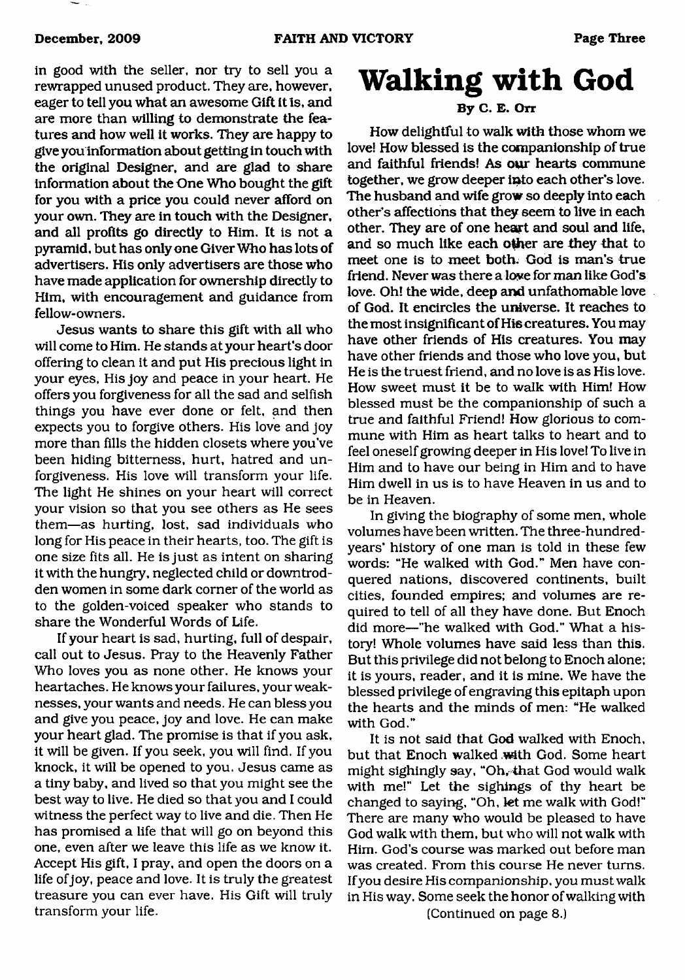in good with the seller, nor try to sell you a rewrapped unused product. They are, however, eager to tell you what an awesome Gift it Is, and are more than willing to demonstrate the features and how well it works. They are happy to give you information about getting in touch with the original Designer, and are glad to share information about the One Who bought the gift for you with a price you could never afford on your own. They are in touch with the Designer, and all profits go directly to Him. It is not a pyramid, but has only one Giver Who has lots of advertisers. His only advertisers are those who have made application for ownership directly to Him, with encouragement and guidance from fellow-owners.

Jesus wants to share this gift with all who will come to Him. He stands at your heart's door offering to clean it and put His precious light in your eyes, His joy and peace in your heart. He offers you forgiveness for all the sad and selfish things you have ever done or felt, and then expects you to forgive others. His love and joy more than fills the hidden closets where you've been hiding bitterness, hurt, hatred and unforgiveness. His love will transform your life. The light He shines on your heart will correct your vision so that you see others as He sees them—as hurting, lost, sad individuals who long for His peace in their hearts, too. The gift is one size fits all. He is just as intent on sharing it with the hungry, neglected child or downtrodden women in some dark corner of the world as to the golden-voiced speaker who stands to share the Wonderful Words of Life.

If your heart is sad, hurting, full of despair, call out to Jesus. Pray to the Heavenly Father Who loves you as none other. He knows your heartaches. He knows your failures, your weaknesses, your wants and needs. He can bless you and give you peace, joy and love. He can make your heart glad. The promise is that if you ask, it will be given. If you seek, you will find. If you knock, it will be opened to you. Jesus came as a tiny baby, and lived so that you might see the best way to live. He died so that you and I could witness the perfect way to live and die. Then He has promised a life that will go on beyond this one, even after we leave this life as we know it. Accept His gift, I pray, and open the doors on a life of joy, peace and love. It is truly the greatest treasure you can ever have. His Gift will truly transform your life.

# <span id="page-2-0"></span>**Walking with God**

## **By C. E. Orr**

How delightful to walk with those whom we love! How blessed is the companionship of true and faithful friends! As our hearts commune together, we grow deeper into each other's love. The husband and wife grow so deeply into each other's affections that they seem to live in each other. They are of one heart and soul and life, and so much like each other are they that to meet one is to meet both. God is man's true friend. Never was there a love for man like God's love. Oh! the wide, deep and unfathomable love of God. It encircles the universe. It reaches to the most insignificant of Hiscreatures. You may have other friends of His creatures. You may have other friends and those who love you, but He is the truest friend, and no love is as His love. How sweet must it be to walk with Him! How blessed must be the companionship of such a true and faithful Friend! How glorious to commune with Him as heart talks to heart and to feel oneself growing deeper in His love! To live in Him and to have our being in Him and to have Him dwell in us is to have Heaven in us and to be in Heaven.

In giving the biography of some men, whole volumes have been written. The three-hundredyears' history of one man is told in these few words: "He walked with God." Men have conquered nations, discovered continents, built cities, founded empires; and volumes are required to tell of all they have done. But Enoch did more—"he walked with God." What a history! Whole volumes have said less than this. But this privilege did not belong to Enoch alone; it is yours, reader, and it is mine. We have the blessed privilege of engraving this epitaph upon the hearts and the minds of men: "He walked with God."

It is not said that God walked with Enoch, but that Enoch walked with God. Some heart might sighingly say, "Oh, that God would walk with me!" Let the sighings of thy heart be changed to saying, "Oh, let me walk with God!" There are many who would be pleased to have God walk with them, but who will not walk with Him. God's course was marked out before man was created. From this course He never turns. If you desire His companionship, you must walk in His way. Some seek the honor of walking with (Continued on page 8.)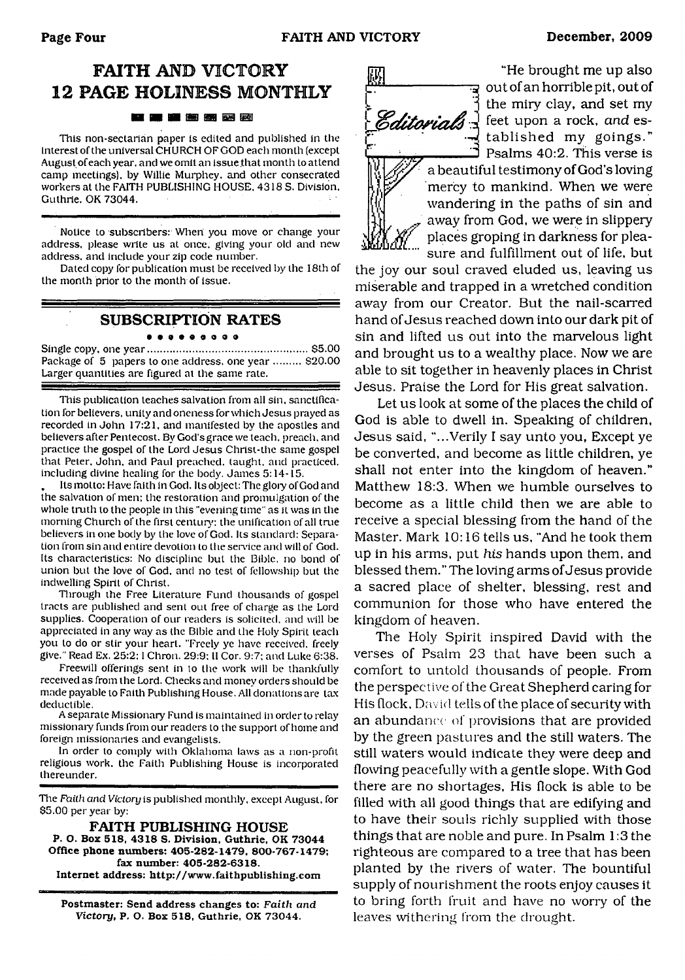# **FAITH AND VICTORY 12 PAGE HOLINESS MONTHLY**

#### ■ 图 图 函 函

This non-sectarian paper is edited and published in the interest of the universal CHURCH OF GOD each month (except August of each year, and we omit an issue that month to attend camp meetings), by Willie Murphey. and other consecrated workers at the FAITH PUBLISHING HOUSE. 4318 S. Division, Guthrie. OK 73044.

Notice to subscribers: When you move or change your address, please write us at once, giving your old and new address, and include your zip code number.

Dated copy for publication must be received by the 18th of the month prior to the month of issue.

### **SUBSCRIPTION RATES** • • • • o e o o o

Single copy, one year..................................................... \$5.00 Package of 5 papers to one address, one year ......... \$20.00 Larger quantities are figured at the same rate.

This publication teaches salvation from all sin. sanctification for believers, unity and oneness for which Jesus prayed as recorded in John 17:21, and manifested by the apostles and believers after Pentecost. By God's grace we teach, preach, and practice the gospel of the Lord Jesus Christ-the same gospel that Peter, John, and Paul preached, taught, and practiced, including divine healing for the body. James 5:14-15.

Its motto: Have faith in God. Its object: The glory of God and the salvation of men: the restoration and promulgation of the whole truth to the people in this "evening time" as it was in the morning Church of the first century: the unification of all true believers in one body by the love of God. Its standard: Separation from sin and entire devotion to the service and will of God. Its characteristics: No discipline but the Bible, no bond of union but the love of God, and no lest of fellowship but the indwelling Spirit of Christ.

Through the Free Literature Fund thousands of gospel tracts are published and sent out free of charge as the Lord supplies. Cooperation of our readers is solicited, and will be appreciated in any way as the Bible and the Holy Spirit leach you to do or stir your heart. "Freely ye have received, freely give." Read Ex. 25:2:1 Chron. 29:9; II Cor. 9:7; and Luke 6:38.

Freewill offerings sent in to the work will be thankfully received as from the Lord. Checks and money orders should be made payable to Faith Publishing House. All donations are tax deductible.

A separate Missionary Fund is maintained in order to relay missionary funds from our readers to the support of home and foreign missionaries and evangelists.

In order to comply with Oklahoma laws as a non-profit religious work, the Faith Publishing House is incorporated thereunder.

The *Faith and Victory* is published monthly, except August, for \$5.00 per year by:

**FAITH PUBLISHING HOUSE P. O. Box 518, 4318 S. Division. Guthrie. OK 73044 Office phone numbers: 405-282-1479, 800-767-1479; fax number: 405-282-6318. Internet address: <http://www.faithpublishing.com>**

**Postmaster: Send address changes to:** *Faith and Victory,* **P. O. Box 518, Guthrie, OK 73044.**



"He brought me up also न्द्र out of an horrible pit, out of the miry clay, and set my *Caitorials*  $\frac{1}{2}$  feet upon a rock, and established my goings." *D* Psalms 40:2. This verse is a beautiful testimony of God's loving mercy to mankind. When we were

wandering in the paths of sin and away from God, we were in slippery places groping in darkness for pleasure and fulfillment out of life, but

the joy our soul craved eluded us, leaving us miserable and trapped in a wretched condition away from our Creator. But the nail-scarred hand of Jesus reached down into our dark pit of sin and lifted us out into the marvelous light and brought us to a wealthy place. Now we are able to sit together in heavenly places in Christ Jesus. Praise the Lord for His great salvation.

Let us look at some of the places the child of God is able to dwell in. Speaking of children, Jesus said, "...Verily I say unto you, Except ye be converted, and become as little children, ye shall not enter into the kingdom of heaven." Matthew 18:3. When we humble ourselves to become as a little child then we are able to receive a special blessing from the hand of the Master. Mark 10:16 tells us, "And he took them up in his arms, put *his* hands upon them, and blessed them." The loving arms of Jesus provide a sacred place of shelter, blessing, rest and communion for those who have entered the kingdom of heaven.

The Holy Spirit inspired David with the verses of Psalm 23 that have been such a comfort to untold thousands of people. From the perspective of the Great Shepherd caring for His (lock, David tells of the place of security with an abundance of provisions that are provided by the green pastures and the still waters. The still waters would indicate they were deep and flowing peacefully with a gentle slope. With God there are no shortages, His flock is able to be filled with all good things that are edifying and to have their souls richly supplied with those things that are noble and pure. In Psalm 1:3 the righteous are compared to a tree that has been planted by the rivers of water. The bountiful supply of nourishment the roots enjoy causes it to bring forth fruit and have no worry of the leaves withering from the drought.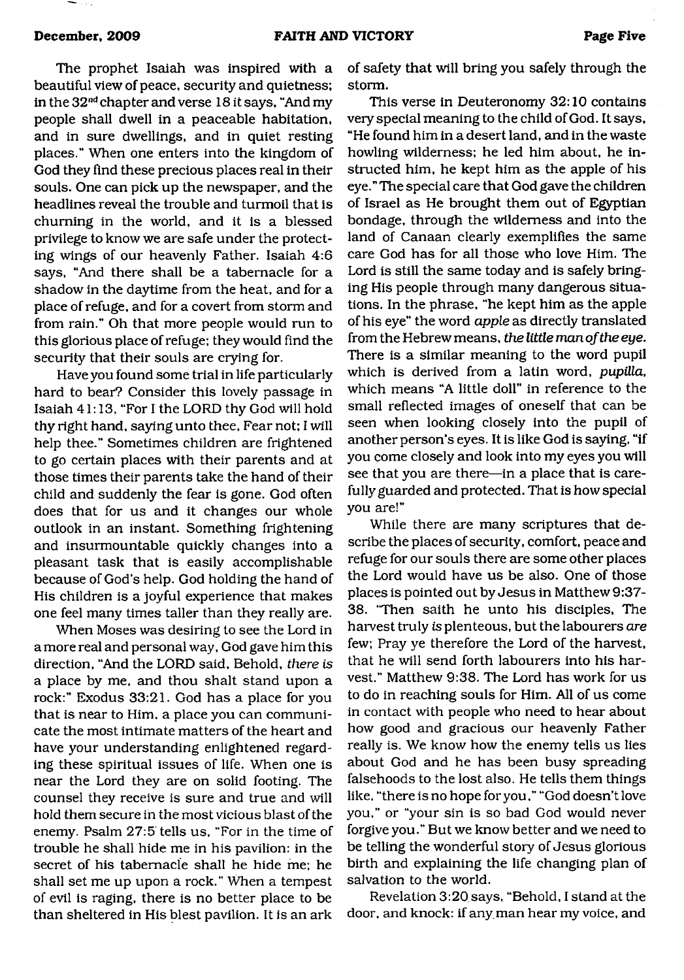╼- ...

The prophet Isaiah was inspired with a beautiful view of peace, security and quietness; in the 32nd chapter and verse 18 it says, "And my people shall dwell in a peaceable habitation, and in sure dwellings, and in quiet resting places." When one enters into the kingdom of God they find these precious places real in their souls. One can pick up the newspaper, and the headlines reveal the trouble and turmoil that is churning in the world, and it is a blessed privilege to know we are safe under the protecting wings of our heavenly Father. Isaiah 4:6 says, "And there shall be a tabernacle for a shadow in the daytime from the heat, and for a place of refuge, and for a covert from storm and from rain." Oh that more people would run to this glorious place of refuge; they would find the security that their souls are crying for.

Have you found some trial in life particularly hard to bear? Consider this lovely passage in Isaiah 41:13, "For I the LORD thy God will hold thy right hand, saying unto thee, Fear not; I will help thee." Sometimes children are frightened to go certain places with their parents and at those times their parents take the hand of their child and suddenly the fear is gone. God often does that for us and it changes our whole outlook in an instant. Something frightening and insurmountable quickly changes into a pleasant task that is easily accomplishable because of God's help. God holding the hand of His children is a joyful experience that makes one feel many times taller than they really are.

When Moses was desiring to see the Lord in a more real and personal way, God gave him this direction, "And the LORD said. Behold, *there is* a place by me, and thou shalt stand upon a rock:" Exodus 33:21. God has a place for you that is near to Him, a place you can communicate the most intimate matters of the heart and have your understanding enlightened regarding these spiritual issues of life. When one is near the Lord they are on solid footing. The counsel they receive is sure and true and will hold them secure in the most vicious blast of the enemy. Psalm 27:5 tells us, "For in the time of trouble he shall hide me in his pavilion: in the secret of his tabernacle shall he hide me; he shall set me up upon a rock." When a tempest of evil is raging, there is no better place to be than sheltered in His blest pavilion. It is an ark

of safety that will bring you safely through the storm.

This verse in Deuteronomy 32:10 contains very special meaning to the child of God. It says, "He found him in a desert land, and in the waste howling wilderness; he led him about, he instructed him, he kept him as the apple of his eye." The special care that God gave the children of Israel as He brought them out of Egyptian bondage, through the wilderness and into the land of Canaan clearly exemplifies the same care God has for all those who love Him. The Lord is still the same today and is safely bringing His people through many dangerous situations. In the phrase, "he kept him as the apple of his eye" the word *apple* as directly translated from the Hebrew means, *the little man of the eye.* There is a similar meaning to the word pupil which is derived from a latin word, *pupilla,* which means "A little doll" in reference to the small reflected images of oneself that can be seen when looking closely into the pupil of another person's eyes. It is like God is saying, "if you come closely and look into my eyes you will see that you are there—in a place that is carefully guarded and protected. That is how special you are!"

While there are many scriptures that describe the places of security, comfort, peace and refuge for our souls there are some other places the Lord would have us be also. One of those places is pointed out by Jesus in Matthew 9:37- 38. 'Then saith he unto his disciples, The harvest truly is plenteous, but the labourers *are* few; Pray ye therefore the Lord of the harvest, that he will send forth labourers into his harvest." Matthew 9:38. The Lord has work for us to do in reaching souls for Him. All of us come in contact with people who need to hear about how good and gracious our heavenly Father really is. We know how the enemy tells us lies about God and he has been busy spreading falsehoods to the lost also. He tells them things like, "there is no hope for you," "God doesn't love you," or "your sin is so bad God would never forgive you." But we know better and we need to be telling the wonderful story of Jesus glorious birth and explaining the life changing plan of salvation to the world.

Revelation 3:20 says, "Behold, I stand at the door, and knock: if any man hear my voice, and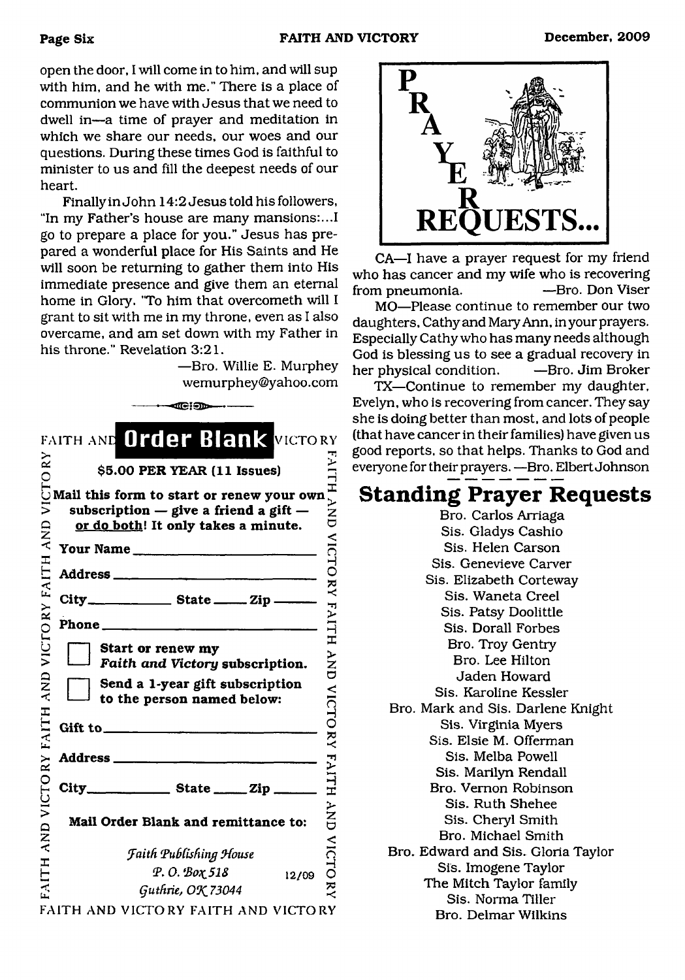open the door, I will come in to him, and will sup with him, and he with me." There is a place of communion we have with Jesus that we need to dwell in—a time of prayer and meditation in which we share our needs, our woes and our questions. During these times God is faithful to minister to us and fill the deepest needs of our heart.

Finally in John 14:2 Jesus told his followers, "In my Father's house are many mansions:...I go to prepare a place for you." Jesus has prepared a wonderful place for His Saints and He will soon be returning to gather them into His immediate presence and give them an eternal home in Glory. "To him that overcometh will I grant to sit with me in my throne, even as I also overcame, and am set down with my Father in his throne." Revelation 3:21.

> —Bro. Willie E. Murphey [wemurphey@yahoo.com](mailto:wemurphey@yahoo.com)

|               | ⊶ <b>⊄G</b> [90⊶                                                                                                              |                  |
|---------------|-------------------------------------------------------------------------------------------------------------------------------|------------------|
|               | FAITH AND Order Blank VICTORY                                                                                                 |                  |
| $\tilde{R}$   | \$5.00 PER YEAR (11 Issues)                                                                                                   | <b>FAITH</b>     |
| VICTO<br>AND  | Mail this form to start or renew your own<br>subscription $-$ give a friend a gift $-$<br>or do both! It only takes a minute. | $\sum_{i=1}^{n}$ |
|               | Your Name                                                                                                                     | VICTO            |
|               |                                                                                                                               |                  |
|               |                                                                                                                               |                  |
|               |                                                                                                                               | RY FAILH         |
| VICTORY FAITH | Start or renew my<br>Faith and Victory subscription.                                                                          | YN<br>O          |
| AND           | Send a 1-year gift subscription<br>to the person named below:                                                                 | <b>VICTORY</b>   |
| FAITH         |                                                                                                                               |                  |
|               |                                                                                                                               |                  |
| VICTORY       |                                                                                                                               | <b>FAITH</b>     |
| QNY           | Mail Order Blank and remittance to:                                                                                           | ン<br>NNP         |
|               | <b>Faith Publishing House</b>                                                                                                 | VICTO            |
|               | Р. О. Вох 518<br>12/09                                                                                                        |                  |
|               | Guthrie, OK 73044                                                                                                             |                  |
|               | FAITH AND VICTORY FAITH AND VICTORY                                                                                           |                  |

CA—I have a prayer request for my friend who has cancer and my wife who is recovering<br>from pneumonia. - Bro. Don Viser from pneumonia.

MO—Please continue to remember our two daughters, Cathy and Mary Ann, in your prayers. Especially Cathy who has many needs although God is blessing us to see a gradual recovery in her physical condition. —Bro. Jim Broker

TX—Continue to remember my daughter, Evelyn, who is recovering from cancer. They say she is doing better than most, and lots of people (that have cancer in their families) have given us good reports, so that helps. Thanks to God and everyone for their prayers. —Bro. Elbert Johnson

# **Standing Prayer Requests**

Bro. Carlos Arriaga Sis. Gladys Cashio Sis. Helen Carson Sis. Genevieve Carver Sis. Elizabeth Corteway Sis. Waneta Creel Sis. Patsy Doolittle Sis. Dorall Forbes Bro. Troy Gentry Bro. Lee Hilton Jaden Howard Sis. Karoline Kessler Bro. Mark and Sis. Darlene Knight Sis. Virginia Myers Sis. Elsie M. Offerman Sis. Melba Powell Sis. Marilyn Rendall Bro. Vernon Robinson Sis. Ruth Shehee Sis. Cheryl Smith Bro. Michael Smith Bro. Edward and Sis. Gloria Taylor Sis. Imogene Taylor The Mitch Taylor family Sis. Norma Tiller Bro. Delmar Wilkins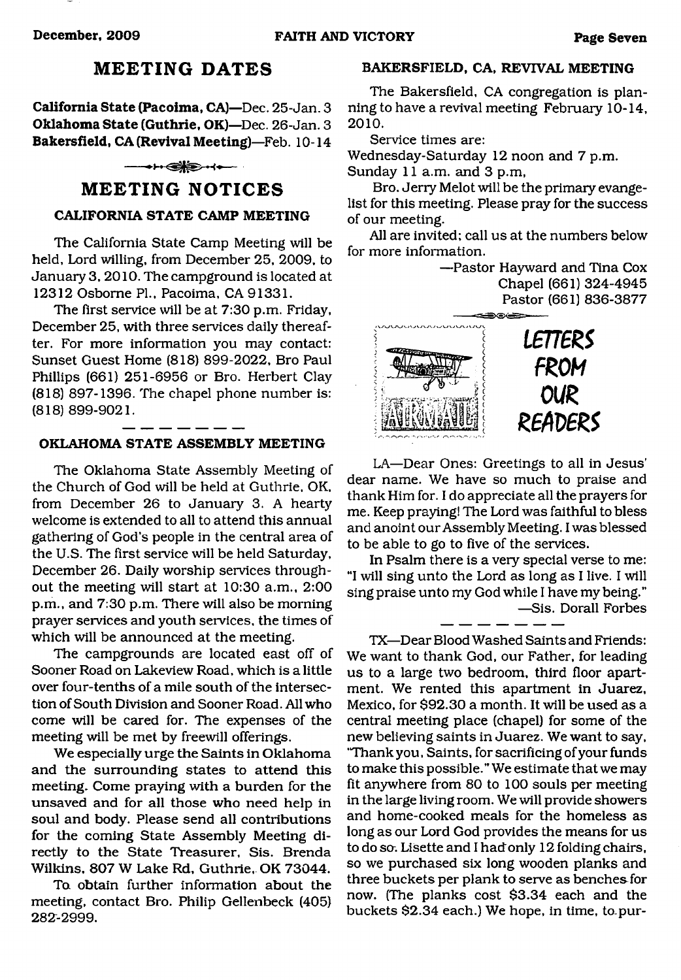# **MEETING DATES**

**California State (Pacoima, CA)**—Dec. 25-Jan. 3 **Oklahoma State (Guthrie, OK)**—Dec. 26-Jan. 3 **Bakersfield, CA (Revival Meeting)**—Feb. 10-14

#### $\longrightarrow$   $\leftrightarrow$

## **MEETING NOTICES**

### **CALIFORNIA STATE CAMP MEETING**

The California State Camp Meeting will be held, Lord willing, from December 25, 2009, to January 3, 2010. The campground is located at 12312 Osborne PL, Pacoima, CA 91331.

The first service will be at 7:30 p.m. Friday, December 25, with three services daily thereafter. For more information you may contact: Sunset Guest Home (818) 899-2022, Bro Paul Phillips (661) 251-6956 or Bro. Herbert Clay (818) 897-1396. The chapel phone number is: (818) 899-9021.

#### **OKLAHOMA STATE ASSEMBLY MEETING**

The Oklahoma State Assembly Meeting of the Church of God will be held at Guthrie, OK, from December 26 to January 3. A hearty welcome is extended to all to attend this annual gathering of God's people in the central area of the U.S. The first service will be held Saturday, December 26. Daily worship services throughout the meeting will start at 10:30 a.m., 2:00 p.m., and 7:30 p.m. There will also be morning prayer services and youth services, the times of which will be announced at the meeting.

The campgrounds are located east off of Sooner Road on Lakeview Road, which is a little over four-tenths of a mile south of the intersection of South Division and Sooner Road. All who come will be cared for. The expenses of the meeting will be met by freewill offerings.

We especially urge the Saints in Oklahoma and the surrounding states to attend this meeting. Come praying with a burden for the unsaved and for all those who need help in soul and body. Please send all contributions for the coming State Assembly Meeting directly to the State Treasurer, Sis. Brenda Wilkins. 807 W Lake Rd, Guthrie, OK 73044.

To obtain further information about the meeting, contact Bro. Philip Gellenbeck (405) 282-2999.

## **BAKERSFIELD, CA, REVIVAL MEETING**

The Bakersfield, CA congregation is planning to have a revival meeting February 10-14, **2010.**

Service times are:

Wednesday-Saturday 12 noon and 7 p.m. Sunday 11 a.m. and 3 p.m,

Bro. Jerry Melot will be the primary evangelist for this meeting. Please pray for the success of our meeting.

All are invited; call us at the numbers below for more information.

> —Pastor Hayward and Tina Cox Chapel (661) 324-4945 Pastor (661) 836-3877



LA—Dear Ones: Greetings to all in Jesus' dear name. We have so much to praise and thank Him for. I do appreciate all the prayers for me. Keep praying! The Lord was faithful to bless and anoint our Assembly Meeting. I was blessed to be able to go to five of the services.

In Psalm there is a very special verse to me: "I will sing unto the Lord as long as I live. I will sing praise unto my God while I have my being." —Sis. Dorall Forbes

TX—Dear Blood Washed Saints and Friends: We want to thank God, our Father, for leading us to a large two bedroom, third floor apartment. We rented this apartment in Juarez, Mexico, for \$92.30 a month. It will be used as a central meeting place (chapel) for some of the new believing saints in Juarez. We want to say. "Thank you, Saints, for sacrificing of your funds to make this possible." We estimate that we may fit anywhere from 80 to 100 souls per meeting in the large living room. We will provide showers and home-cooked meals for the homeless as long as our Lord God provides the means for us to do so. Lisette and I had only 12 folding chairs, so we purchased six long wooden planks and three buckets per plank to serve as benches for now. (The planks cost \$3.34 each and the buckets \$2.34 each.) We hope, in time, to.pur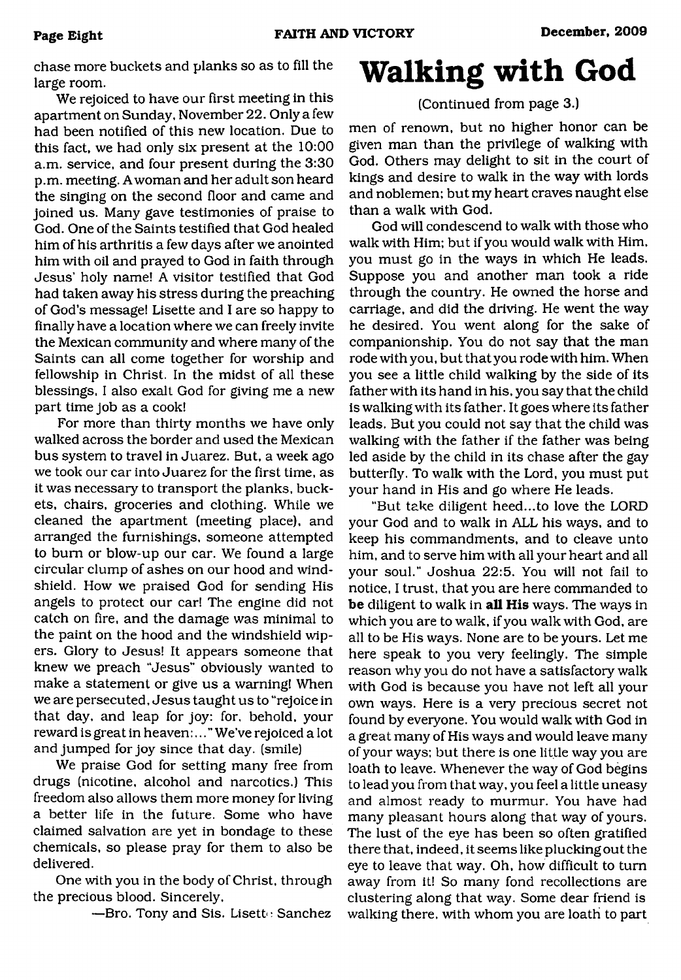chase more buckets and planks so as to fill the large room.

We rejoiced to have our first meeting in this apartment on Sunday, November 22. Only a few had been notified of this new location. Due to this fact, we had only six present at the 10:00 a.m. service, and four present during the 3:30 p.m. meeting. A woman and her adult son heard the singing on the second floor and came and joined us. Many gave testimonies of praise to God. One of the Saints testified that God healed him of his arthritis a few days after we anointed him with oil and prayed to God in faith through Jesus' holy name! A visitor testified that God had taken away his stress during the preaching of God's message! Lisette and I are so happy to finally have a location where we can freely invite the Mexican community and where many of the Saints can all come together for worship and fellowship in Christ. In the midst of all these blessings, I also exalt God for giving me a new part time job as a cook!

For more than thirty months we have only walked across the border and used the Mexican bus system to travel in Juarez. But, a week ago we took our car into Juarez for the first time, as it was necessary to transport the planks, buckets, chairs, groceries and clothing. While we cleaned the apartment (meeting place), and arranged the furnishings, someone attempted to bum or blow-up our car. We found a large circular clump of ashes on our hood and windshield. How we praised God for sending His angels to protect our car! The engine did not catch on fire, and the damage was minimal to the paint on the hood and the windshield wipers. Glory to Jesus! It appears someone that knew we preach "Jesus" obviously wanted to make a statement or give us a warning! When we are persecuted, Jesus taught us to "rejoice in that day, and leap for joy: for, behold, your reward is great in heaven:. . We've rejoiced a lot and jumped for joy since that day. (smile)

We praise God for setting many free from drugs (nicotine, alcohol and narcotics.) This freedom also allows them more money for living a better life in the future. Some who have claimed salvation are yet in bondage to these chemicals, so please pray for them to also be delivered.

One with you in the body of Christ, through the precious blood. Sincerely,

-Bro. Tony and Sis. Lisette Sanchez

# **Walking with God**

## (Continued from page 3.)

men of renown, but no higher honor can be given man than the privilege of walking with God. Others may delight to sit in the court of kings and desire to walk in the way with lords and noblemen; but my heart craves naught else than a walk with God.

God will condescend to walk with those who walk with Him; but if you would walk with Him, you must go in the ways in which He leads. Suppose you and another man took a ride through the country. He owned the horse and carriage, and did the driving. He went the way he desired. You went along for the sake of companionship. You do not say that the man rode with you, but that you rode with him. When you see a little child walking by the side of its father with its hand in his, you say that the child is walking with its father. It goes where its father leads. But you could not say that the child was walking with the father if the father was being led aside by the child in its chase after the gay butterfly. To walk with the Lord, you must put your hand in His and go where He leads.

"But take diligent heed...to love the LORD your God and to walk in ALL his ways, and to keep his commandments, and to cleave unto him, and to serve him with all your heart and all your soul." Joshua 22:5. You will not fail to notice, I trust, that you are here commanded to **be** diligent to walk in **all His** ways. The ways in which you are to walk, if you walk with God, are all to be His ways. None are to be yours. Let me here speak to you very feelingly. The simple reason why you do not have a satisfactory walk with God is because you have not left all your own ways. Here is a very precious secret not found by everyone. You would walk with God in a great many of His ways and would leave many of your ways; but there is one little way you are loath to leave. Whenever the way of God begins to lead you from that way, you feel a little uneasy and almost ready to murmur. You have had many pleasant hours along that way of yours. The lust of the eye has been so often gratified there that, indeed, it seems like plucking out the eye to leave that way. Oh, how difficult to turn away from it! So many fond recollections are clustering along that way. Some dear friend is walking there, with whom you are loath to part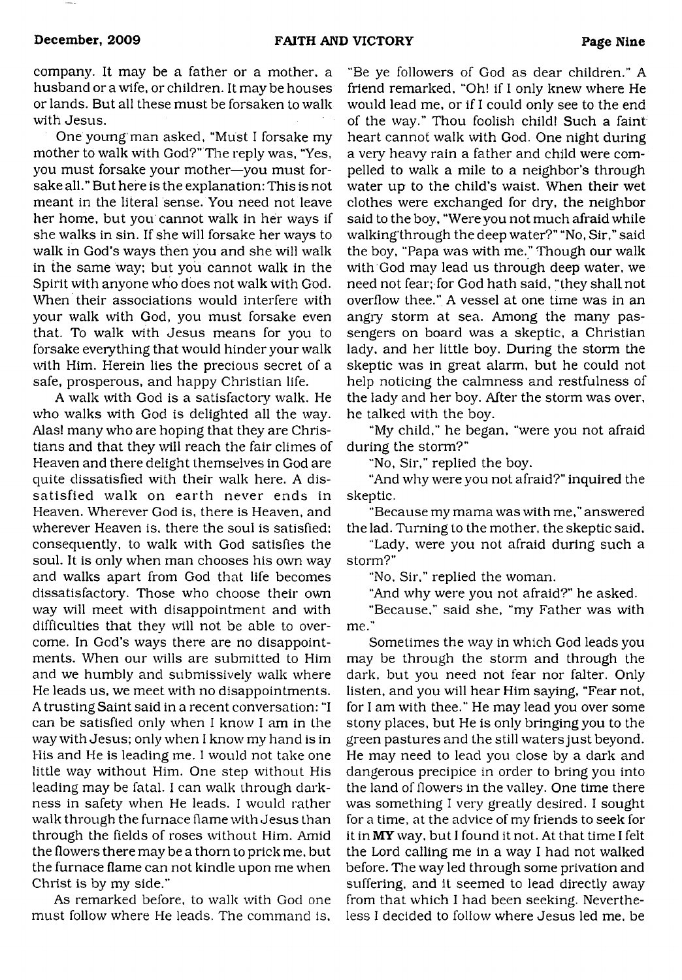company. It may be a father or a mother, a husband or a wife, or children. It may be houses or lands. But all these must be forsaken to walk with Jesus.

One young man asked, "Must I forsake my mother to walk with God?" The reply was, "Yes, you must forsake your mother—you must forsake all." But here is the explanation: This is not meant in the literal sense. You need not leave her home, but you cannot walk in her ways if she walks in sin. If she will forsake her ways to walk in God's ways then you and she will walk in the same way; but you cannot walk in the Spirit with anyone who does not walk with God. When their associations would interfere with your walk with God, you must forsake even that. To walk with Jesus means for you to forsake everything that would hinder your walk with Him. Herein lies the precious secret of a safe, prosperous, and happy Christian life.

A walk with God is a satisfactory walk. He who walks with God is delighted all the way. Alas! many who are hoping that they are Christians and that they will reach the fair climes of Heaven and there delight themselves in God are quite dissatisfied with their walk here. A dissatisfied walk on earth never ends in Heaven. Wherever God is, there is Heaven, and wherever Heaven is, there the soul is satisfied; consequently, to walk with God satisfies the soul. It is only when man chooses his own way and walks apart from God that life becomes dissatisfactory. Those who choose their own way will meet with disappointment and with difficulties that they will not be able to overcome. In God's ways there are no disappointments. When our wills are submitted to Him and we humbly and submissively walk where He leads us, we meet with no disappointments. A trusting Saint said in a recent conversation: "I can be satisfied only when I know I am in the way with Jesus; only when I know my hand is in His and He is leading me. I would not take one little way without Him. One step without His leading may be fatal. I can walk through darkness in safety when He leads. I would rather walk through the furnace flame with Jesus than through the fields of roses without Him. Amid the flowers there may be a thorn to prick me, but the furnace flame can not kindle upon me when Christ is by my side."

As remarked before, to walk with God one must follow where He leads. The command is.

"Be ye followers of God as dear children." A friend remarked, "Oh! if I only knew where He would lead me, or if I could only see to the end of the way." Thou foolish child! Such a faint heart cannot walk with God. One night during a very heavy rain a father and child were compelled to walk a mile to a neighbor's through water up to the child's waist. When their wet clothes were exchanged for dry, the neighbor said to the boy, "Were you not much afraid while walking'through the deep water?" "No, Sir," said the boy, "Papa was with me." Though our walk with God may lead us through deep water, we need not fear; for God hath said, "they shall not overflow thee." A vessel at one time was in an angry storm at sea. Among the many passengers on board was a skeptic, a Christian lady, and her little boy. During the storm the skeptic was in great alarm, but he could not help noticing the calmness and restfulness of the lady and her boy. After the storm was over, he talked with the boy.

"My child," he began, "were you not afraid during the storm?"

"No, Sir," replied the boy.

"And why were you not afraid?" inquired the skeptic.

"Because my mama was with me," answered the lad. Turning to the mother, the skeptic said,

"Lady, were you not afraid during such a storm?"

"No, Sir," replied the woman.

"And why were you not afraid?" he asked.

"Because," said she, "my Father was with me."

Sometimes the way in which God leads you may be through the storm and through the dark, but you need not fear nor falter. Only listen, and you will hear Him saying, "Fear not, for I am with thee." He may lead you over some stony places, but He is only bringing you to the green pastures and the still waters just beyond. He may need to lead you close by a dark and dangerous precipice in order to bring you into the land of flowers in the valley. One time there was something I very greatly desired. I sought for a time, at the advice of my friends to seek for it in **MY** way, but **I** found it not. At that time **I** felt the Lord calling me in a way I had not walked before. The way led through some privation and suffering, and it seemed to lead directly away from that which I had been seeking. Nevertheless I decided to follow where Jesus led me, be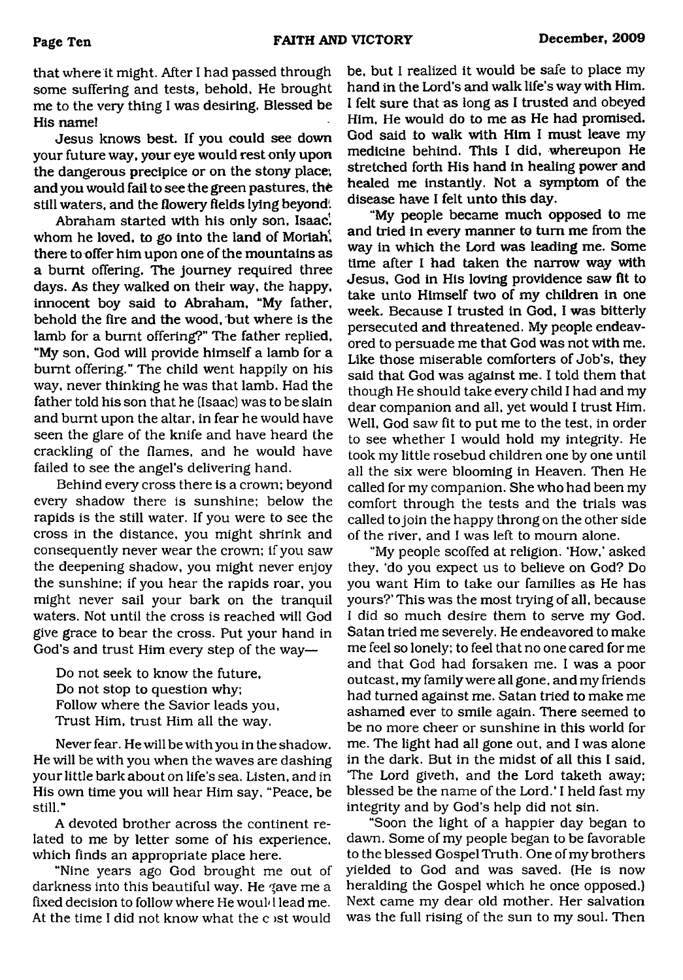that where it might. After I had passed through some suffering and tests, behold, He brought me to the very thing I was desiring. Blessed be His name!

Jesus knows best. If you could see down your future way, your eye would rest only upon the dangerous precipice or on the stony place, and you would fail to see the green pastures, the still waters, and the flowery fields lying beyond!

Abraham started with his only son, Isaac', whom he loved, to go into the land of Moriah. there to offer him upon one of the mountains as a burnt offering. The journey required three days. As they walked on their way, the happy, innocent boy said to Abraham, "My father, behold the fire and the wood, but where is the lamb for a burnt offering?" The father replied, "My son, God will provide himself a lamb for a burnt offering." The child went happily on his way, never thinking he was that lamb. Had the father told his son that he (Isaac) was to be slain and burnt upon the altar, in fear he would have seen the glare of the knife and have heard the crackling of the flames, and he would have failed to see the angel's delivering hand.

Behind every cross there is a crown; beyond every shadow there is sunshine; below the rapids is the still water. If you were to see the cross in the distance, you might shrink and consequently never wear the crown; if you saw the deepening shadow, you might never enjoy the sunshine; if you hear the rapids roar, you might never sail your bark on the tranquil waters. Not until the cross is reached will God give grace to bear the cross. Put your hand in God's and trust Him every step of the way—

Do not seek to know the future, Do not stop to question why; Follow where the Savior leads you. Trust Him, trust Him all the way.

Never fear. He will be with you in the shadow. He will be with you when the waves are dashing your little bark about on life's sea. Listen, and in His own time you will hear Him say, "Peace, be still."

A devoted brother across the continent related to me by letter some of his experience, which finds an appropriate place here.

"Nine years ago God brought me out of darkness into this beautiful way. He gave me a fixed decision to follow where He would lead me. At the time I did not know what the c )st would

be, but I realized it would be safe to place my hand in the Lord's and walk life's way with Him. I felt sure that as long as I trusted and obeyed Him. He would do to me as He had promised. God said to walk with Him I must leave my medicine behind. This I did, whereupon He stretched forth His hand in healing power and healed me instantly. Not a symptom of the disease have I felt unto this day.

"My people became much opposed to me and tried in every manner to turn me from the way in which the Lord was leading me. Some time after I had taken the narrow way with Jesus, God in His loving providence saw fit to take unto Himself two of my children in one week. Because I trusted in God, I was bitterly persecuted and threatened. My people endeavored to persuade me that God was not with me. Like those miserable comforters of Job's, they said that God was against me. I told them that though He should take every child I had and my dear companion and all, yet would I trust Him. Well, God saw fit to put me to the test, in order to see whether I would hold my integrity. He took my little rosebud children one by one until all the six were blooming in Heaven. Then He called for my companion. She who had been my comfort through the tests and the trials was called to join the happy throng on the other side of the river, and I was left to mourn alone.

"My people scoffed at religion. 'How,' asked they, 'do you expect us to believe on God? Do you want Him to take our families as He has yours?' This was the most trying of all, because I did so much desire them to serve my God. Satan tried me severely. He endeavored to make me feel so lonely; to feel that no one cared for me and that God had forsaken me. I was a poor outcast, my family were all gone, and my friends had turned against me. Satan tried to make me ashamed ever to smile again. There seemed to be no more cheer or sunshine in this world for me. The light had all gone out, and I was alone in the dark. But in the midst of all this I said, The Lord giveth, and the Lord taketh away; blessed be the name of the Lord.' I held fast my integrity and by God's help did not sin.

"Soon the light of a happier day began to dawn. Some of my people began to be favorable to the blessed Gospel Truth. One of my brothers yielded to God and was saved. (He is now heralding the Gospel which he once opposed.) Next came my dear old mother. Her salvation was the full rising of the sun to my soul. Then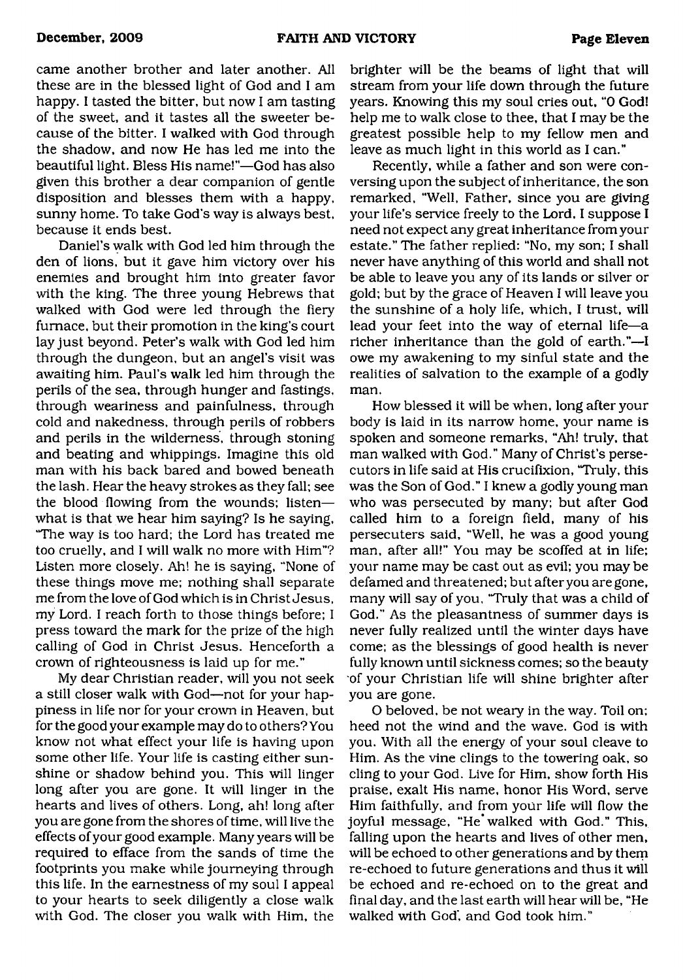came another brother and later another. All these are in the blessed light of God and I am happy. I tasted the bitter, but now I am tasting of the sweet, and it tastes all the sweeter because of the bitter. I walked with God through the shadow, and now He has led me into the beautiful light. Bless His name!"—God has also given this brother a dear companion of gentle disposition and blesses them with a happy, sunny home. To take God's way is always best, because it ends best.

Daniel's walk with God led him through the den of lions, but it gave him victory over his enemies and brought him into greater favor with the king. The three young Hebrews that walked with God were led through the fiery furnace, but their promotion in the king's court lay just beyond. Peter's walk with God led him through the dungeon, but an angel's visit was awaiting him. Paul's walk led him through the perils of the sea, through hunger and fastings, through weariness and painfulness, through cold and nakedness, through perils of robbers and perils in the wilderness, through stoning and beating and whippings. Imagine this old man with his back bared and bowed beneath the lash. Hear the heavy strokes as they fall; see the blood flowing from the wounds; listen what is that we hear him saying? Is he saying, "The way is too hard; the Lord has treated me too cruelly, and I will walk no more with Him"? Listen more closely. Ah! he is saying, "None of these things move me; nothing shall separate me from the love of God which is in Christ Jesus, my Lord. I reach forth to those things before; I press toward the mark for the prize of the high calling of God in Christ Jesus. Henceforth a crown of righteousness is laid up for me."

My dear Christian reader, will you not seek a still closer walk with God—not for your happiness in life nor for your crown in Heaven, but for the good your example may do to others? You know not what effect your life is having upon some other life. Your life is casting either sunshine or shadow behind you. This will linger long after you are gone. It will linger in the hearts and lives of others. Long, ah! long after you are gone from the shores of time, will live the effects of your good example. Many years will be required to efface from the sands of time the footprints you make while journeying through this life. In the earnestness of my soul I appeal to your hearts to seek diligently a close walk with God. The closer you walk with Him, the

brighter will be the beams of light that will stream from your life down through the future years. Knowing this my soul cries out, "0 God! help me to walk close to thee, that I may be the greatest possible help to my fellow men and leave as much light in this world as I can."

Recently, while a father and son were conversing upon the subject of inheritance, the son remarked, "Well, Father, since you are giving your life's service freely to the Lord, I suppose I need not expect any great inheritance from your estate." The father replied: "No, my son; I shall never have anything of this world and shall not be able to leave you any of its lands or silver or gold; but by the grace of Heaven I will leave you the sunshine of a holy life, which, I trust, will lead your feet into the way of eternal life—a richer inheritance than the gold of earth."—I owe my awakening to my sinful state and the realities of salvation to the example of a godly man.

How blessed it will be when, long after your body is laid in its narrow home, your name is spoken and someone remarks, "Ah! truly, that man walked with God." Many of Christ's persecutors in life said at His crucifixion, "Truly, this was the Son of God." I knew a godly young man who was persecuted by many; but after God called him to a foreign field, many of his persecuters said, "Well, he was a good young man, after all!" You may be scoffed at in life; your name may be cast out as evil; you may be defamed and threatened; but after you are gone, many will say of you, 'Truly that was a child of God." As the pleasantness of summer days is never fully realized until the winter days have come; as the blessings of good health is never fully known until sickness comes; so the beauty of your Christian life will shine brighter after you are gone.

O beloved, be not weary in the way. Toil on; heed not the wind and the wave. God is with you. With all the energy of your soul cleave to Him. As the vine clings to the towering oak, so cling to your God. Live for Him, show forth His praise, exalt His name, honor His Word, serve Him faithfully, and from your life will flow the joyful message, "He walked with God." This, falling upon the hearts and lives of other men, will be echoed to other generations and by them re-echoed to future generations and thus it will be echoed and re-echoed on to the great and final day, and the last earth will hear will be, "He walked with God', and God took him."